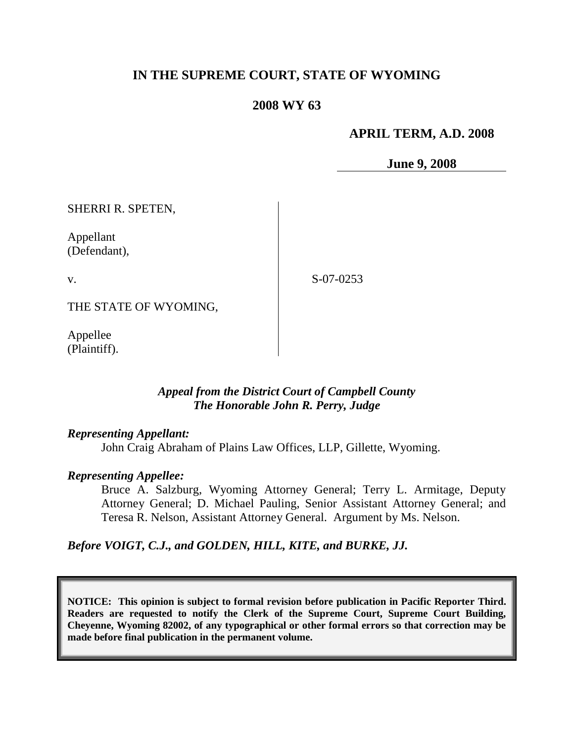# **IN THE SUPREME COURT, STATE OF WYOMING**

### **2008 WY 63**

### **APRIL TERM, A.D. 2008**

**June 9, 2008**

SHERRI R. SPETEN,

Appellant (Defendant),

v.

S-07-0253

THE STATE OF WYOMING,

Appellee (Plaintiff).

### *Appeal from the District Court of Campbell County The Honorable John R. Perry, Judge*

### *Representing Appellant:*

John Craig Abraham of Plains Law Offices, LLP, Gillette, Wyoming.

### *Representing Appellee:*

Bruce A. Salzburg, Wyoming Attorney General; Terry L. Armitage, Deputy Attorney General; D. Michael Pauling, Senior Assistant Attorney General; and Teresa R. Nelson, Assistant Attorney General. Argument by Ms. Nelson.

*Before VOIGT, C.J., and GOLDEN, HILL, KITE, and BURKE, JJ.*

**NOTICE: This opinion is subject to formal revision before publication in Pacific Reporter Third. Readers are requested to notify the Clerk of the Supreme Court, Supreme Court Building, Cheyenne, Wyoming 82002, of any typographical or other formal errors so that correction may be made before final publication in the permanent volume.**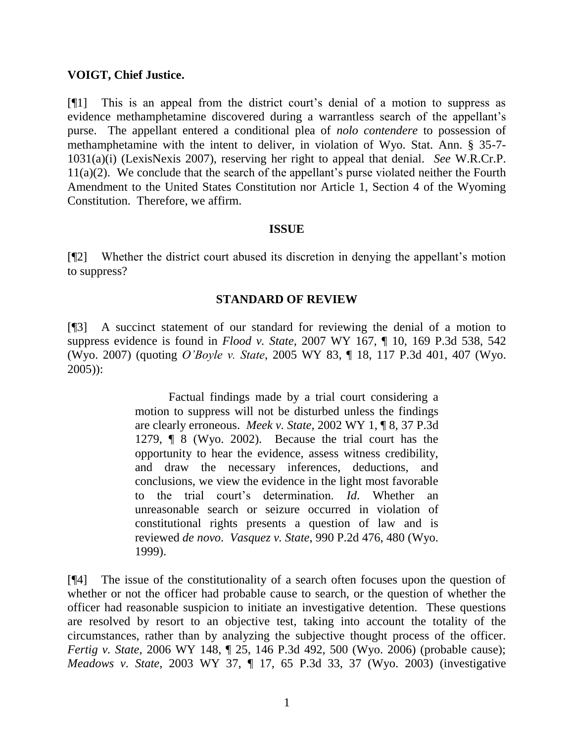### **VOIGT, Chief Justice.**

[¶1] This is an appeal from the district court"s denial of a motion to suppress as evidence methamphetamine discovered during a warrantless search of the appellant"s purse. The appellant entered a conditional plea of *nolo contendere* to possession of methamphetamine with the intent to deliver, in violation of Wyo. Stat. Ann. § 35-7- 1031(a)(i) (LexisNexis 2007), reserving her right to appeal that denial. *See* W.R.Cr.P.  $11(a)(2)$ . We conclude that the search of the appellant's purse violated neither the Fourth Amendment to the United States Constitution nor Article 1, Section 4 of the Wyoming Constitution. Therefore, we affirm.

### **ISSUE**

[¶2] Whether the district court abused its discretion in denying the appellant"s motion to suppress?

### **STANDARD OF REVIEW**

[¶3] A succinct statement of our standard for reviewing the denial of a motion to suppress evidence is found in *Flood v. State*, 2007 WY 167, ¶ 10, 169 P.3d 538, 542 (Wyo. 2007) (quoting *O'Boyle v. State*, 2005 WY 83, ¶ 18, 117 P.3d 401, 407 (Wyo. 2005)):

> Factual findings made by a trial court considering a motion to suppress will not be disturbed unless the findings are clearly erroneous. *Meek v. State*, 2002 WY 1, ¶ 8, 37 P.3d 1279, ¶ 8 (Wyo. 2002). Because the trial court has the opportunity to hear the evidence, assess witness credibility, and draw the necessary inferences, deductions, and conclusions, we view the evidence in the light most favorable to the trial court"s determination. *Id*. Whether an unreasonable search or seizure occurred in violation of constitutional rights presents a question of law and is reviewed *de novo*. *Vasquez v. State*, 990 P.2d 476, 480 (Wyo. 1999).

[¶4] The issue of the constitutionality of a search often focuses upon the question of whether or not the officer had probable cause to search, or the question of whether the officer had reasonable suspicion to initiate an investigative detention. These questions are resolved by resort to an objective test, taking into account the totality of the circumstances, rather than by analyzing the subjective thought process of the officer. *Fertig v. State*, 2006 WY 148, ¶ 25, 146 P.3d 492, 500 (Wyo. 2006) (probable cause); *Meadows v. State*, 2003 WY 37, ¶ 17, 65 P.3d 33, 37 (Wyo. 2003) (investigative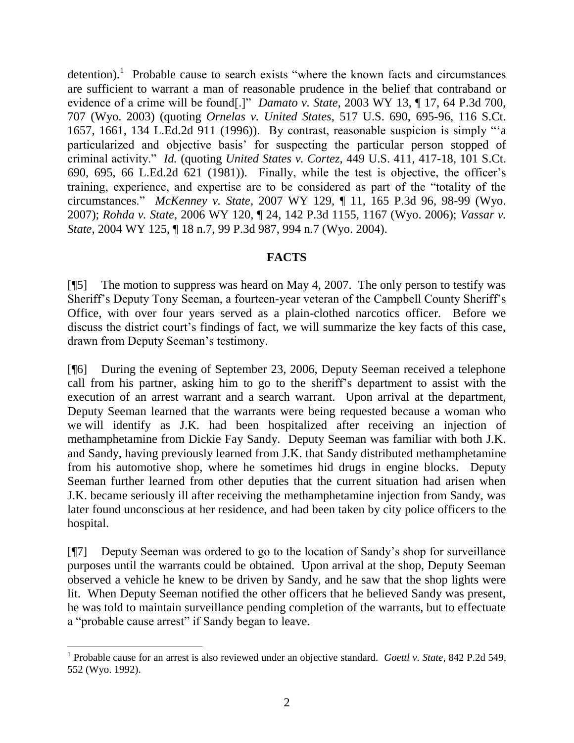detention).<sup>1</sup> Probable cause to search exists "where the known facts and circumstances" are sufficient to warrant a man of reasonable prudence in the belief that contraband or evidence of a crime will be found[.]" *Damato v. State*, 2003 WY 13, ¶ 17, 64 P.3d 700, 707 (Wyo. 2003) (quoting *Ornelas v. United States*, 517 U.S. 690, 695-96, 116 S.Ct. 1657, 1661, 134 L.Ed.2d 911 (1996)). By contrast, reasonable suspicion is simply ""a particularized and objective basis" for suspecting the particular person stopped of criminal activity." *Id.* (quoting *United States v. Cortez*, 449 U.S. 411, 417-18, 101 S.Ct. 690, 695, 66 L.Ed.2d 621 (1981)). Finally, while the test is objective, the officer"s training, experience, and expertise are to be considered as part of the "totality of the circumstances." *McKenney v. State*, 2007 WY 129, ¶ 11, 165 P.3d 96, 98-99 (Wyo. 2007); *Rohda v. State*, 2006 WY 120, ¶ 24, 142 P.3d 1155, 1167 (Wyo. 2006); *Vassar v. State*, 2004 WY 125, ¶ 18 n.7, 99 P.3d 987, 994 n.7 (Wyo. 2004).

# **FACTS**

[¶5] The motion to suppress was heard on May 4, 2007. The only person to testify was Sheriff"s Deputy Tony Seeman, a fourteen-year veteran of the Campbell County Sheriff"s Office, with over four years served as a plain-clothed narcotics officer. Before we discuss the district court's findings of fact, we will summarize the key facts of this case, drawn from Deputy Seeman"s testimony.

[¶6] During the evening of September 23, 2006, Deputy Seeman received a telephone call from his partner, asking him to go to the sheriff"s department to assist with the execution of an arrest warrant and a search warrant. Upon arrival at the department, Deputy Seeman learned that the warrants were being requested because a woman who we will identify as J.K. had been hospitalized after receiving an injection of methamphetamine from Dickie Fay Sandy. Deputy Seeman was familiar with both J.K. and Sandy, having previously learned from J.K. that Sandy distributed methamphetamine from his automotive shop, where he sometimes hid drugs in engine blocks. Deputy Seeman further learned from other deputies that the current situation had arisen when J.K. became seriously ill after receiving the methamphetamine injection from Sandy, was later found unconscious at her residence, and had been taken by city police officers to the hospital.

[¶7] Deputy Seeman was ordered to go to the location of Sandy"s shop for surveillance purposes until the warrants could be obtained. Upon arrival at the shop, Deputy Seeman observed a vehicle he knew to be driven by Sandy, and he saw that the shop lights were lit. When Deputy Seeman notified the other officers that he believed Sandy was present, he was told to maintain surveillance pending completion of the warrants, but to effectuate a "probable cause arrest" if Sandy began to leave.

<sup>&</sup>lt;sup>1</sup> Probable cause for an arrest is also reviewed under an objective standard. *Goettl v. State*, 842 P.2d 549, 552 (Wyo. 1992).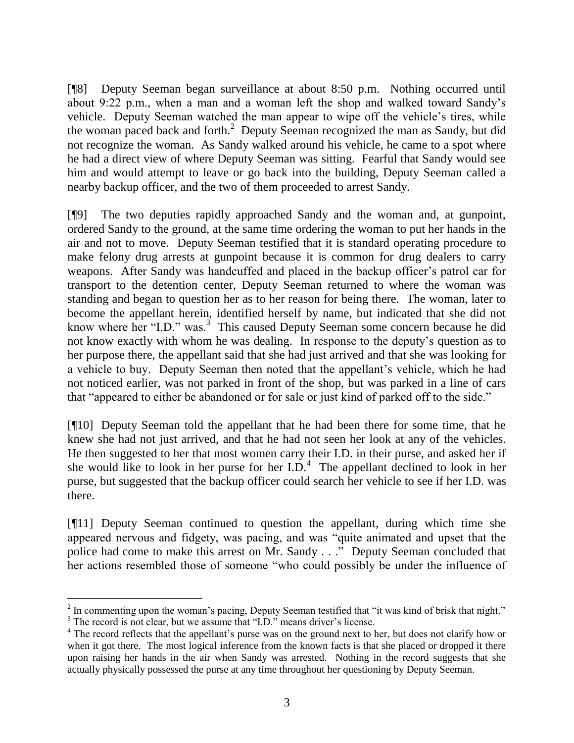[¶8] Deputy Seeman began surveillance at about 8:50 p.m. Nothing occurred until about 9:22 p.m., when a man and a woman left the shop and walked toward Sandy"s vehicle. Deputy Seeman watched the man appear to wipe off the vehicle"s tires, while the woman paced back and forth.<sup>2</sup> Deputy Seeman recognized the man as Sandy, but did not recognize the woman. As Sandy walked around his vehicle, he came to a spot where he had a direct view of where Deputy Seeman was sitting. Fearful that Sandy would see him and would attempt to leave or go back into the building, Deputy Seeman called a nearby backup officer, and the two of them proceeded to arrest Sandy.

[¶9] The two deputies rapidly approached Sandy and the woman and, at gunpoint, ordered Sandy to the ground, at the same time ordering the woman to put her hands in the air and not to move. Deputy Seeman testified that it is standard operating procedure to make felony drug arrests at gunpoint because it is common for drug dealers to carry weapons. After Sandy was handcuffed and placed in the backup officer's patrol car for transport to the detention center, Deputy Seeman returned to where the woman was standing and began to question her as to her reason for being there. The woman, later to become the appellant herein, identified herself by name, but indicated that she did not know where her "I.D." was.<sup>3</sup> This caused Deputy Seeman some concern because he did not know exactly with whom he was dealing. In response to the deputy"s question as to her purpose there, the appellant said that she had just arrived and that she was looking for a vehicle to buy. Deputy Seeman then noted that the appellant"s vehicle, which he had not noticed earlier, was not parked in front of the shop, but was parked in a line of cars that "appeared to either be abandoned or for sale or just kind of parked off to the side."

[¶10] Deputy Seeman told the appellant that he had been there for some time, that he knew she had not just arrived, and that he had not seen her look at any of the vehicles. He then suggested to her that most women carry their I.D. in their purse, and asked her if she would like to look in her purse for her  $I.D.<sup>4</sup>$ . The appellant declined to look in her purse, but suggested that the backup officer could search her vehicle to see if her I.D. was there.

[¶11] Deputy Seeman continued to question the appellant, during which time she appeared nervous and fidgety, was pacing, and was "quite animated and upset that the police had come to make this arrest on Mr. Sandy . . ." Deputy Seeman concluded that her actions resembled those of someone "who could possibly be under the influence of

 $2<sup>2</sup>$  In commenting upon the woman's pacing, Deputy Seeman testified that "it was kind of brisk that night."

<sup>&</sup>lt;sup>3</sup> The record is not clear, but we assume that "I.D." means driver's license.

<sup>&</sup>lt;sup>4</sup> The record reflects that the appellant's purse was on the ground next to her, but does not clarify how or when it got there. The most logical inference from the known facts is that she placed or dropped it there upon raising her hands in the air when Sandy was arrested. Nothing in the record suggests that she actually physically possessed the purse at any time throughout her questioning by Deputy Seeman.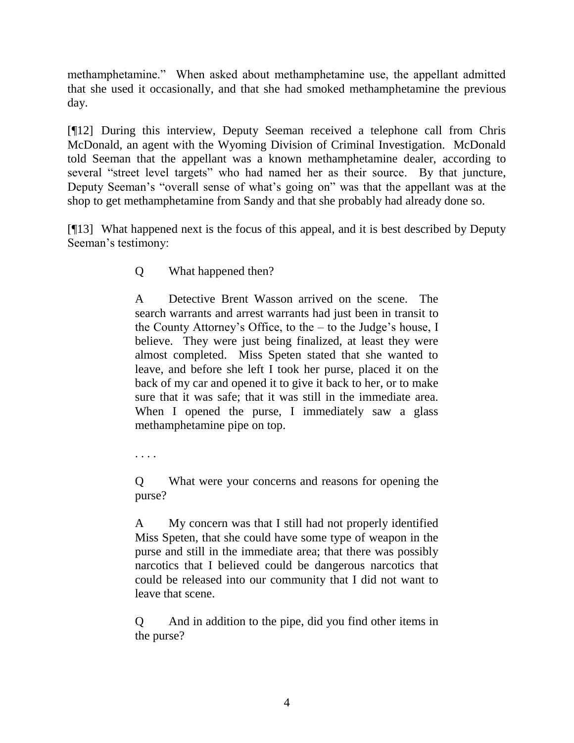methamphetamine." When asked about methamphetamine use, the appellant admitted that she used it occasionally, and that she had smoked methamphetamine the previous day.

[¶12] During this interview, Deputy Seeman received a telephone call from Chris McDonald, an agent with the Wyoming Division of Criminal Investigation. McDonald told Seeman that the appellant was a known methamphetamine dealer, according to several "street level targets" who had named her as their source. By that juncture, Deputy Seeman"s "overall sense of what"s going on" was that the appellant was at the shop to get methamphetamine from Sandy and that she probably had already done so.

[¶13] What happened next is the focus of this appeal, and it is best described by Deputy Seeman"s testimony:

Q What happened then?

A Detective Brent Wasson arrived on the scene. The search warrants and arrest warrants had just been in transit to the County Attorney's Office, to the  $-$  to the Judge's house, I believe. They were just being finalized, at least they were almost completed. Miss Speten stated that she wanted to leave, and before she left I took her purse, placed it on the back of my car and opened it to give it back to her, or to make sure that it was safe; that it was still in the immediate area. When I opened the purse, I immediately saw a glass methamphetamine pipe on top.

. . . .

Q What were your concerns and reasons for opening the purse?

A My concern was that I still had not properly identified Miss Speten, that she could have some type of weapon in the purse and still in the immediate area; that there was possibly narcotics that I believed could be dangerous narcotics that could be released into our community that I did not want to leave that scene.

Q And in addition to the pipe, did you find other items in the purse?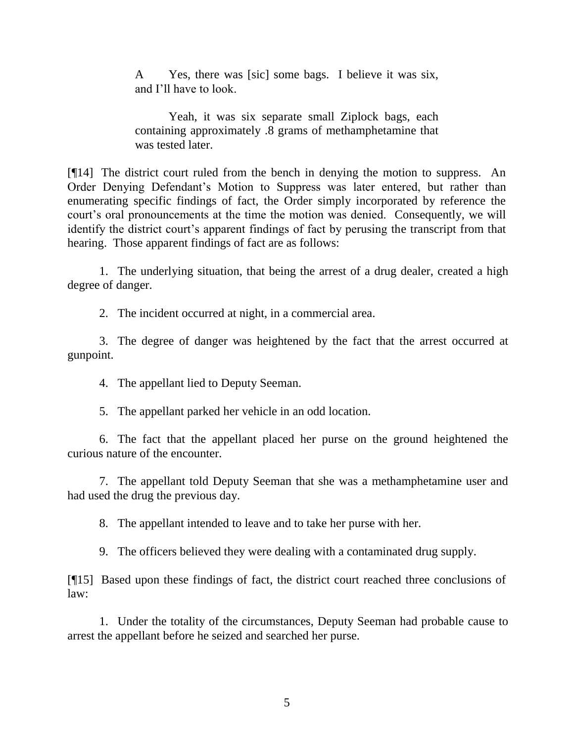A Yes, there was [sic] some bags. I believe it was six, and I"ll have to look.

Yeah, it was six separate small Ziplock bags, each containing approximately .8 grams of methamphetamine that was tested later.

[¶14] The district court ruled from the bench in denying the motion to suppress. An Order Denying Defendant"s Motion to Suppress was later entered, but rather than enumerating specific findings of fact, the Order simply incorporated by reference the court's oral pronouncements at the time the motion was denied. Consequently, we will identify the district court's apparent findings of fact by perusing the transcript from that hearing. Those apparent findings of fact are as follows:

1. The underlying situation, that being the arrest of a drug dealer, created a high degree of danger.

2. The incident occurred at night, in a commercial area.

3. The degree of danger was heightened by the fact that the arrest occurred at gunpoint.

4. The appellant lied to Deputy Seeman.

5. The appellant parked her vehicle in an odd location.

6. The fact that the appellant placed her purse on the ground heightened the curious nature of the encounter.

7. The appellant told Deputy Seeman that she was a methamphetamine user and had used the drug the previous day.

8. The appellant intended to leave and to take her purse with her.

9. The officers believed they were dealing with a contaminated drug supply.

[¶15] Based upon these findings of fact, the district court reached three conclusions of law:

1. Under the totality of the circumstances, Deputy Seeman had probable cause to arrest the appellant before he seized and searched her purse.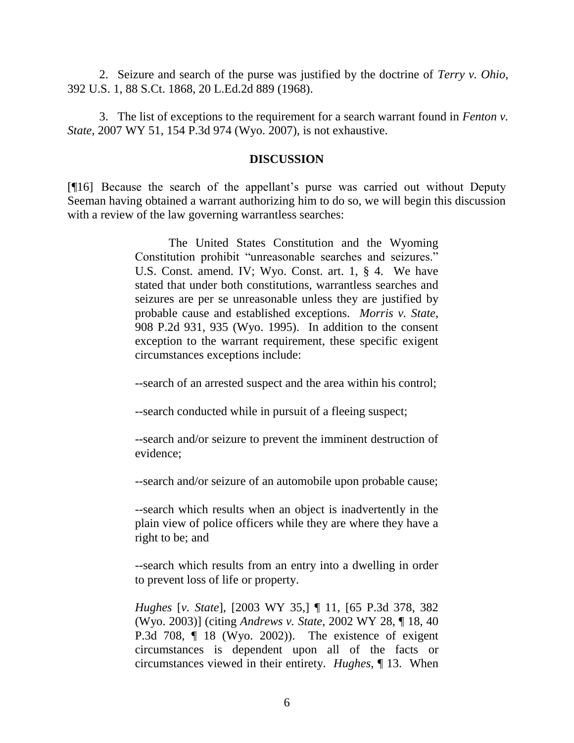2. Seizure and search of the purse was justified by the doctrine of *Terry v. Ohio*, 392 U.S. 1, 88 S.Ct. 1868, 20 L.Ed.2d 889 (1968).

3. The list of exceptions to the requirement for a search warrant found in *Fenton v. State*, 2007 WY 51, 154 P.3d 974 (Wyo. 2007), is not exhaustive.

#### **DISCUSSION**

[¶16] Because the search of the appellant"s purse was carried out without Deputy Seeman having obtained a warrant authorizing him to do so, we will begin this discussion with a review of the law governing warrantless searches:

> The United States Constitution and the Wyoming Constitution prohibit "unreasonable searches and seizures." U.S. Const. amend. IV; Wyo. Const. art. 1, § 4. We have stated that under both constitutions, warrantless searches and seizures are per se unreasonable unless they are justified by probable cause and established exceptions. *Morris v. State*, 908 P.2d 931, 935 (Wyo. 1995). In addition to the consent exception to the warrant requirement, these specific exigent circumstances exceptions include:

> --search of an arrested suspect and the area within his control;

--search conducted while in pursuit of a fleeing suspect;

--search and/or seizure to prevent the imminent destruction of evidence;

--search and/or seizure of an automobile upon probable cause;

--search which results when an object is inadvertently in the plain view of police officers while they are where they have a right to be; and

--search which results from an entry into a dwelling in order to prevent loss of life or property.

*Hughes* [*v. State*], [2003 WY 35,] ¶ 11, [65 P.3d 378, 382 (Wyo. 2003)] (citing *Andrews v. State*, 2002 WY 28, ¶ 18, 40 P.3d 708, ¶ 18 (Wyo. 2002)). The existence of exigent circumstances is dependent upon all of the facts or circumstances viewed in their entirety. *Hughes*, ¶ 13. When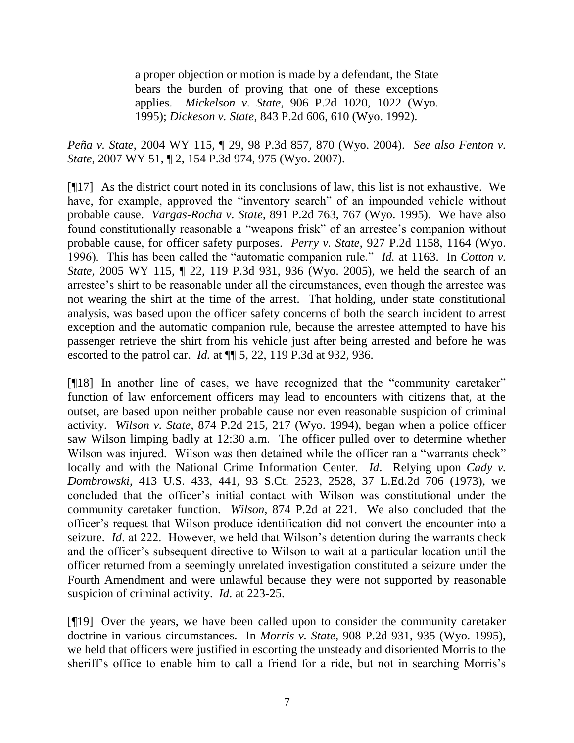a proper objection or motion is made by a defendant, the State bears the burden of proving that one of these exceptions applies. *Mickelson v. State*, 906 P.2d 1020, 1022 (Wyo. 1995); *Dickeson v. State*, 843 P.2d 606, 610 (Wyo. 1992).

*Peña v. State*, 2004 WY 115, ¶ 29, 98 P.3d 857, 870 (Wyo. 2004). *See also Fenton v. State*, 2007 WY 51, ¶ 2, 154 P.3d 974, 975 (Wyo. 2007).

[¶17] As the district court noted in its conclusions of law, this list is not exhaustive. We have, for example, approved the "inventory search" of an impounded vehicle without probable cause. *Vargas-Rocha v. State*, 891 P.2d 763, 767 (Wyo. 1995). We have also found constitutionally reasonable a "weapons frisk" of an arrestee's companion without probable cause, for officer safety purposes. *Perry v. State*, 927 P.2d 1158, 1164 (Wyo. 1996). This has been called the "automatic companion rule." *Id.* at 1163. In *Cotton v. State*, 2005 WY 115, ¶ 22, 119 P.3d 931, 936 (Wyo. 2005), we held the search of an arrestee"s shirt to be reasonable under all the circumstances, even though the arrestee was not wearing the shirt at the time of the arrest. That holding, under state constitutional analysis, was based upon the officer safety concerns of both the search incident to arrest exception and the automatic companion rule, because the arrestee attempted to have his passenger retrieve the shirt from his vehicle just after being arrested and before he was escorted to the patrol car. *Id.* at ¶¶ 5, 22, 119 P.3d at 932, 936.

[¶18] In another line of cases, we have recognized that the "community caretaker" function of law enforcement officers may lead to encounters with citizens that, at the outset, are based upon neither probable cause nor even reasonable suspicion of criminal activity. *Wilson v. State*, 874 P.2d 215, 217 (Wyo. 1994), began when a police officer saw Wilson limping badly at 12:30 a.m. The officer pulled over to determine whether Wilson was injured. Wilson was then detained while the officer ran a "warrants check" locally and with the National Crime Information Center. *Id*. Relying upon *Cady v. Dombrowski*, 413 U.S. 433, 441, 93 S.Ct. 2523, 2528, 37 L.Ed.2d 706 (1973), we concluded that the officer"s initial contact with Wilson was constitutional under the community caretaker function. *Wilson*, 874 P.2d at 221. We also concluded that the officer"s request that Wilson produce identification did not convert the encounter into a seizure. *Id.* at 222. However, we held that Wilson's detention during the warrants check and the officer"s subsequent directive to Wilson to wait at a particular location until the officer returned from a seemingly unrelated investigation constituted a seizure under the Fourth Amendment and were unlawful because they were not supported by reasonable suspicion of criminal activity. *Id*. at 223-25.

[¶19] Over the years, we have been called upon to consider the community caretaker doctrine in various circumstances. In *Morris v. State*, 908 P.2d 931, 935 (Wyo. 1995), we held that officers were justified in escorting the unsteady and disoriented Morris to the sheriff's office to enable him to call a friend for a ride, but not in searching Morris's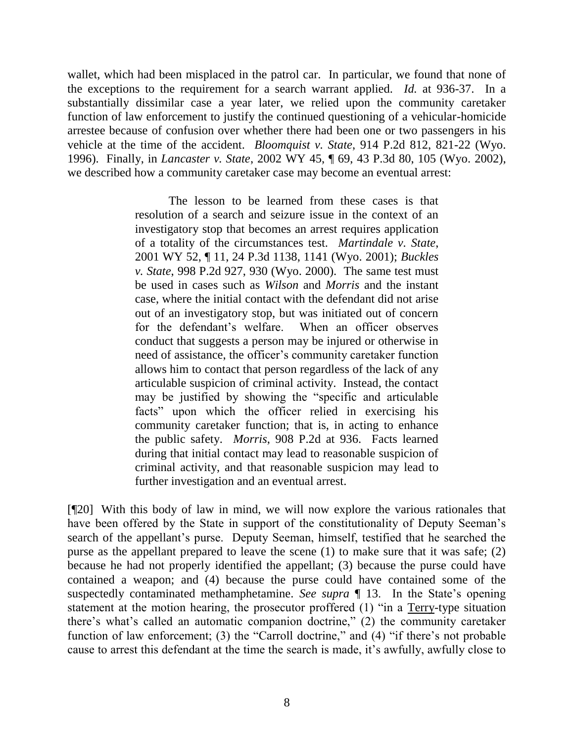wallet, which had been misplaced in the patrol car. In particular, we found that none of the exceptions to the requirement for a search warrant applied. *Id.* at 936-37. In a substantially dissimilar case a year later, we relied upon the community caretaker function of law enforcement to justify the continued questioning of a vehicular-homicide arrestee because of confusion over whether there had been one or two passengers in his vehicle at the time of the accident. *Bloomquist v. State*, 914 P.2d 812, 821-22 (Wyo. 1996). Finally, in *Lancaster v. State*, 2002 WY 45, ¶ 69, 43 P.3d 80, 105 (Wyo. 2002), we described how a community caretaker case may become an eventual arrest:

> The lesson to be learned from these cases is that resolution of a search and seizure issue in the context of an investigatory stop that becomes an arrest requires application of a totality of the circumstances test. *Martindale v. State*, 2001 WY 52, ¶ 11, 24 P.3d 1138, 1141 (Wyo. 2001); *Buckles v. State*, 998 P.2d 927, 930 (Wyo. 2000). The same test must be used in cases such as *Wilson* and *Morris* and the instant case, where the initial contact with the defendant did not arise out of an investigatory stop, but was initiated out of concern for the defendant's welfare. When an officer observes conduct that suggests a person may be injured or otherwise in need of assistance, the officer"s community caretaker function allows him to contact that person regardless of the lack of any articulable suspicion of criminal activity. Instead, the contact may be justified by showing the "specific and articulable facts" upon which the officer relied in exercising his community caretaker function; that is, in acting to enhance the public safety. *Morris*, 908 P.2d at 936. Facts learned during that initial contact may lead to reasonable suspicion of criminal activity, and that reasonable suspicion may lead to further investigation and an eventual arrest.

[¶20] With this body of law in mind, we will now explore the various rationales that have been offered by the State in support of the constitutionality of Deputy Seeman's search of the appellant's purse. Deputy Seeman, himself, testified that he searched the purse as the appellant prepared to leave the scene (1) to make sure that it was safe; (2) because he had not properly identified the appellant; (3) because the purse could have contained a weapon; and (4) because the purse could have contained some of the suspectedly contaminated methamphetamine. *See supra* ¶ 13. In the State's opening statement at the motion hearing, the prosecutor proffered (1) "in a Terry-type situation there"s what"s called an automatic companion doctrine," (2) the community caretaker function of law enforcement; (3) the "Carroll doctrine," and (4) "if there's not probable cause to arrest this defendant at the time the search is made, it"s awfully, awfully close to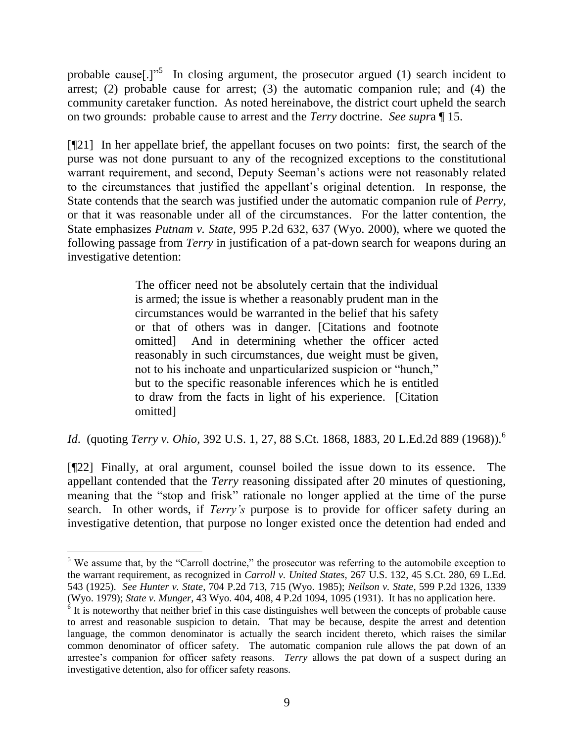probable cause[.]<sup> $1^{5}$ </sup> In closing argument, the prosecutor argued (1) search incident to arrest; (2) probable cause for arrest; (3) the automatic companion rule; and (4) the community caretaker function. As noted hereinabove, the district court upheld the search on two grounds: probable cause to arrest and the *Terry* doctrine. *See supr*a ¶ 15.

[¶21] In her appellate brief, the appellant focuses on two points: first, the search of the purse was not done pursuant to any of the recognized exceptions to the constitutional warrant requirement, and second, Deputy Seeman"s actions were not reasonably related to the circumstances that justified the appellant"s original detention. In response, the State contends that the search was justified under the automatic companion rule of *Perry*, or that it was reasonable under all of the circumstances. For the latter contention, the State emphasizes *Putnam v. State*, 995 P.2d 632, 637 (Wyo. 2000), where we quoted the following passage from *Terry* in justification of a pat-down search for weapons during an investigative detention:

> The officer need not be absolutely certain that the individual is armed; the issue is whether a reasonably prudent man in the circumstances would be warranted in the belief that his safety or that of others was in danger. [Citations and footnote omitted] And in determining whether the officer acted reasonably in such circumstances, due weight must be given, not to his inchoate and unparticularized suspicion or "hunch," but to the specific reasonable inferences which he is entitled to draw from the facts in light of his experience. [Citation omitted]

*Id.* (quoting *Terry v. Ohio*, 392 U.S. 1, 27, 88 S.Ct. 1868, 1883, 20 L.Ed.2d 889 (1968)).<sup>6</sup>

[¶22] Finally, at oral argument, counsel boiled the issue down to its essence. The appellant contended that the *Terry* reasoning dissipated after 20 minutes of questioning, meaning that the "stop and frisk" rationale no longer applied at the time of the purse search. In other words, if *Terry's* purpose is to provide for officer safety during an investigative detention, that purpose no longer existed once the detention had ended and

<sup>&</sup>lt;sup>5</sup> We assume that, by the "Carroll doctrine," the prosecutor was referring to the automobile exception to the warrant requirement, as recognized in *Carroll v. United States*, 267 U.S. 132, 45 S.Ct. 280, 69 L.Ed. 543 (1925). *See Hunter v. State*, 704 P.2d 713, 715 (Wyo. 1985); *Neilson v. State*, 599 P.2d 1326, 1339 (Wyo. 1979); *State v. Munger*, 43 Wyo. 404, 408, 4 P.2d 1094, 1095 (1931). It has no application here.

<sup>&</sup>lt;sup>6</sup> It is noteworthy that neither brief in this case distinguishes well between the concepts of probable cause to arrest and reasonable suspicion to detain. That may be because, despite the arrest and detention language, the common denominator is actually the search incident thereto, which raises the similar common denominator of officer safety. The automatic companion rule allows the pat down of an arrestee's companion for officer safety reasons. *Terry* allows the pat down of a suspect during an investigative detention, also for officer safety reasons.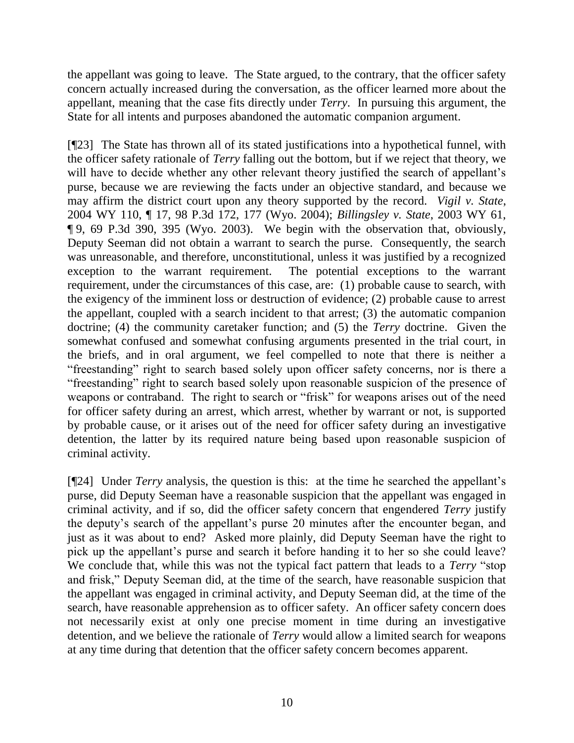the appellant was going to leave. The State argued, to the contrary, that the officer safety concern actually increased during the conversation, as the officer learned more about the appellant, meaning that the case fits directly under *Terry*. In pursuing this argument, the State for all intents and purposes abandoned the automatic companion argument.

[¶23] The State has thrown all of its stated justifications into a hypothetical funnel, with the officer safety rationale of *Terry* falling out the bottom, but if we reject that theory, we will have to decide whether any other relevant theory justified the search of appellant's purse, because we are reviewing the facts under an objective standard, and because we may affirm the district court upon any theory supported by the record. *Vigil v. State*, 2004 WY 110, ¶ 17, 98 P.3d 172, 177 (Wyo. 2004); *Billingsley v. State*, 2003 WY 61, ¶ 9, 69 P.3d 390, 395 (Wyo. 2003). We begin with the observation that, obviously, Deputy Seeman did not obtain a warrant to search the purse. Consequently, the search was unreasonable, and therefore, unconstitutional, unless it was justified by a recognized exception to the warrant requirement. The potential exceptions to the warrant requirement, under the circumstances of this case, are: (1) probable cause to search, with the exigency of the imminent loss or destruction of evidence; (2) probable cause to arrest the appellant, coupled with a search incident to that arrest; (3) the automatic companion doctrine; (4) the community caretaker function; and (5) the *Terry* doctrine. Given the somewhat confused and somewhat confusing arguments presented in the trial court, in the briefs, and in oral argument, we feel compelled to note that there is neither a "freestanding" right to search based solely upon officer safety concerns, nor is there a "freestanding" right to search based solely upon reasonable suspicion of the presence of weapons or contraband. The right to search or "frisk" for weapons arises out of the need for officer safety during an arrest, which arrest, whether by warrant or not, is supported by probable cause, or it arises out of the need for officer safety during an investigative detention, the latter by its required nature being based upon reasonable suspicion of criminal activity.

[¶24] Under *Terry* analysis, the question is this: at the time he searched the appellant"s purse, did Deputy Seeman have a reasonable suspicion that the appellant was engaged in criminal activity, and if so, did the officer safety concern that engendered *Terry* justify the deputy"s search of the appellant"s purse 20 minutes after the encounter began, and just as it was about to end? Asked more plainly, did Deputy Seeman have the right to pick up the appellant"s purse and search it before handing it to her so she could leave? We conclude that, while this was not the typical fact pattern that leads to a *Terry* "stop and frisk," Deputy Seeman did, at the time of the search, have reasonable suspicion that the appellant was engaged in criminal activity, and Deputy Seeman did, at the time of the search, have reasonable apprehension as to officer safety. An officer safety concern does not necessarily exist at only one precise moment in time during an investigative detention, and we believe the rationale of *Terry* would allow a limited search for weapons at any time during that detention that the officer safety concern becomes apparent.